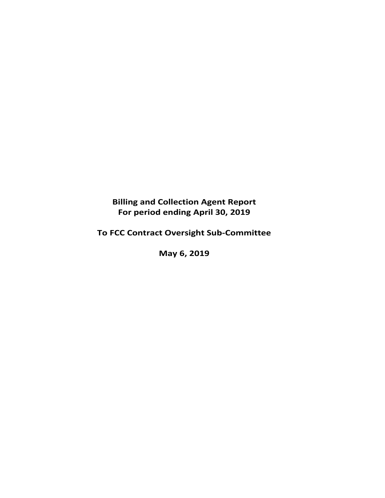# **Billing and Collection Agent Report For period ending April 30, 2019**

# **To FCC Contract Oversight Sub‐Committee**

**May 6, 2019**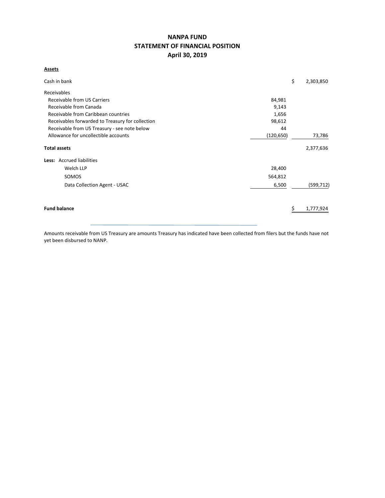## **NANPA FUND STATEMENT OF FINANCIAL POSITION April 30, 2019**

## **Assets**

| Cash in bank                                     | \$         | 2,303,850  |
|--------------------------------------------------|------------|------------|
| Receivables                                      |            |            |
| Receivable from US Carriers                      | 84,981     |            |
| Receivable from Canada                           | 9,143      |            |
| Receivable from Caribbean countries              | 1,656      |            |
| Receivables forwarded to Treasury for collection | 98,612     |            |
| Receivable from US Treasury - see note below     | 44         |            |
| Allowance for uncollectible accounts             | (120, 650) | 73,786     |
| <b>Total assets</b>                              |            | 2,377,636  |
| <b>Less:</b> Accrued liabilities                 |            |            |
| Welch LLP                                        | 28,400     |            |
| SOMOS                                            | 564,812    |            |
| Data Collection Agent - USAC                     | 6,500      | (599, 712) |
|                                                  |            |            |
| <b>Fund balance</b>                              |            | 1,777,924  |
|                                                  |            |            |

Amounts receivable from US Treasury are amounts Treasury has indicated have been collected from filers but the funds have not yet been disbursed to NANP.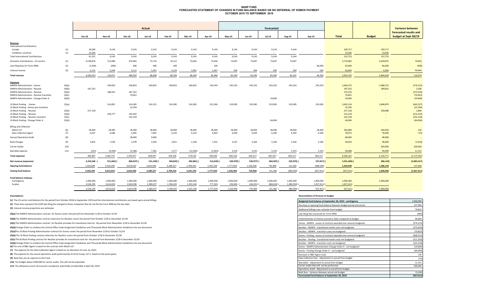#### **NANP FUND FORECASTED STATEMENT OF CHANGES IN FUND BALANCE BASED ON NO DEFERRAL OF SOMOS PAYMENTOCTOBER 2018 TO SEPTEMBER 2019**

|                                           |        |           |               |               | Actual    |           |            |           |            |             | Forecasted    |                          |                  |               |               | <b>Variance between</b> |
|-------------------------------------------|--------|-----------|---------------|---------------|-----------|-----------|------------|-----------|------------|-------------|---------------|--------------------------|------------------|---------------|---------------|-------------------------|
|                                           |        |           |               |               |           |           |            |           |            |             |               |                          |                  |               |               | forecasted results and  |
|                                           |        | Oct-18    | <b>Nov-18</b> | <b>Dec-18</b> | Jan-19    | Feb-19    | Mar-19     | Apr-19    | May-19     | Jun-19      | <b>Jul-19</b> | Aug-19                   | Sep-19           | <b>Total</b>  | <b>Budget</b> | budget at Sept 30/19    |
| Revenue                                   |        |           |               |               |           |           |            |           |            |             |               |                          |                  |               |               |                         |
| <b>International Contributions</b>        |        |           |               |               |           |           |            |           |            |             |               |                          |                  |               |               |                         |
| Canada                                    | (1)    | 18,286    | 9,143         | 9,143         | 9,143     | 9,143     | 9,143      | 9,143     | 9,143      | 9,143       | 9,143         | 9,144                    |                  | 109,717       | 109,717       |                         |
| Caribbean countries                       | (1)    | 23.036    | $\sim$        | $\sim$        |           |           |            |           | $\sim$     | $\sim$      |               | $\sim$                   | $\sim$           | 23,036        | 23,036        |                         |
| <b>Total International Contributions</b>  |        | 41,322    | 9,143         | 9,143         | 9,143     | 9,143     | 9,143      | 9,143     | 9,143      | 9,143       | 9,143         | 9,144                    | $\sim$           | 132,753       | 132,753       |                         |
| Domestic Contributions - US carriers      | (1)    | 4,538,876 | 115,084       | 474,065       | 73,710    | 76,122    | 73,604     | 73,436    | 73,697     | 73,697      | 73,697        | 73,697                   |                  | 5,719,685     | 5,639,875     | 79,810                  |
| Late filing fees for Form 499A            | (2)    | (1,300)   | (400)         | 600           | 400       | 200       | $\sim$     | 100       | $\sim$     | $\sim$      |               | $\overline{\phantom{a}}$ | 66,000           | 65,600        | 66,000        | (400)                   |
| Interest income                           | (3)    | 6,155     | 5,244         | 6,112         | 5,355     | 4,129     | 3,902      | 3,267     | 500        | 500         | 500           | 500                      | 500              | 36,664        | 6,000         | 30,664                  |
| <b>Total revenue</b>                      |        | 4,585,053 | 129,071       | 489,920       | 88,608    | 89,594    | 86,649     | 85,946    | 83,340     | 83,340      | 83,340        | 83,341                   | 66,500           | 5,954,702     | 5,844,628     | 110,074                 |
| <b>Expenses</b>                           |        |           |               |               |           |           |            |           |            |             |               |                          |                  |               |               |                         |
| NANPA Administration - Somos              | (4)(a) | $\sim$    | 240,833       | 240,833       | 240,833   | 240,833   | 240,833    | 243,545   | 243,333    | 243,333     | 243,333       | 243,333                  | 243,333          | 2,664,375     | 2,088,152     | (576, 223)              |
| NANPA Administration - Neustar            | (4)(b) | 187,332   |               |               |           |           |            |           |            |             |               |                          |                  | 187,332       | 189,832       | 2,500                   |
| NANPA Administration - Neustar            | (4)(b) |           | 188,201       | 187,332       |           |           |            |           |            |             |               |                          |                  | 375,533       |               | (375, 533)              |
| NANPA Administration - Neustar transition | (4)(c) | $\sim$    | $\sim$        | 70,822        |           |           |            |           |            |             |               |                          |                  | 70,822        |               | (70, 822)               |
| NANPA Administration - Change Order A     | (4)(d) |           |               |               |           |           |            |           |            |             | 19,606        |                          |                  | 19,606        |               | (19,606)                |
| 1K Block Pooling - Somos                  | (5)(a) | $\sim$    | 314,855       | 314,585       | 314,315   | 314,585   | 314,585    | 321,266   | 319,585    | 319,585     | 319,585       | 319,585                  | 319,585          | 3,492,116     | 2,848,879     | (643, 237)              |
| 1K Block Pooling - Somos pre-transition   |        |           |               | 25,294        |           |           |            |           |            |             |               |                          |                  | 25,294        |               | (25, 294)               |
| 1K Block Pooling - Neustar                | (5)(b) | 257,128   |               |               |           |           |            |           |            |             |               |                          |                  | 257,128       | 258,988       | 1,860                   |
| 1K Block Pooling - Neustar                | (5)(b) |           | 258,777       | 254,442       |           |           |            |           |            |             |               |                          |                  | 513,219       |               | (513, 219)              |
| 1K Block Pooling - Neustar transition     | (5)(c) |           |               | 101,518       |           |           |            |           |            |             |               |                          |                  | 101,518       |               | (101, 518)              |
| 1K Block Pooling - Change Order A         | (5)(d) |           |               |               |           |           |            |           |            |             | 64,004        |                          |                  | 64,004        |               | (64,004)                |
| <b>Billing and Collection</b>             |        |           |               |               |           |           |            |           |            |             |               |                          |                  |               |               |                         |
| Welch LLP                                 | (6)    | 28,400    | 28,400        | 28,400        | 28,400    | 28,400    | 28,400     | 28,400    | 28,400     | 28,400      | 28,400        | 28,400                   | 28,400           | 340,800       | 340,920       | 120                     |
| <b>Data Collection Agent</b>              | (7)    | 6,637     | 6,586         | 6,465         | 7,062     | 6,210     | 6,210      | 6,403     | 6,500      | 6,500       | 6,500         | 6,500                    | 6,500            | 78,073        | 78,000        | (73)                    |
| <b>Annual Operations Audit</b>            | (8)    | $\sim$    | $\sim$ $-$    | 38,400        | 9,600     | $\sim$    | $\sim$     | $\sim$    | $\sim$     | $\sim$      |               |                          | $\sim$           | 48,000        | 48,000        |                         |
| <b>Bank Charges</b>                       | (9)    | 3,835     | 7,530         | 2,478         | 2,456     | 2,821     | 2,148      | 2,555     | 3,167      | 3,166       | 3,166         | 3,166                    | 3,166            | 39,654        | 38,000        | (1,654)                 |
| <b>Carrier Audits</b>                     | (10)   | $\sim$    | $\sim$        | $\sim$        | $\sim$    | $\sim$    | $\sim$     | $\sim$    | $\sim$     | $\sim$      |               | $\overline{\phantom{a}}$ | $\sim$           | $\sim$        | 200,000       | 200,000                 |
| Bad debt expense                          | (11)   | (525)     | (4, 449)      | 23,388        | 7,281     | 1,577     | (12, 646)  | (2,603)   | 3,333      | 3,333       | 3,333         | 3,333                    | 3,333            | 28,688        | 40,000        | 11,312                  |
| <b>Total expenses</b>                     |        | 482,807   | 1,040,733     | 1,293,957     | 609,947   | 594,426   | 579,530    | 599,566   | 604,318    | 604,317     | 687,927       | 604,317                  | 604,317          | 8,306,162     | 6,130,771     | (2, 175, 391)           |
| Net revenue (expenses)                    |        | 4,102,246 | 911,662) (    | 804,037)      | 521,339)  | 504,832)  | 492,881) ( | 513,620)  | 520,978) ( | 520,977)    | 604,587) (    | 520,976) (               | 537,817)         | $2,351,460$ ( | 286,143)      | (2,065,317)             |
| <b>Opening fund balance</b>               |        | 1,424,049 | 5,526,295     | 4,614,633     | 3,810,596 | 3,289,257 | 2,784,425  | 2,291,544 | 1,777,924  | 1,256,946   | 735,969       | 131,382                  | (389, 594)       | 1,424,049     | 1,286,143     | 137,906                 |
| <b>Closing fund balance</b>               |        | 5,526,295 | 4,614,633     | 3,810,596     | 3,289,257 | 2,784,425 | 2,291,544  | 1,777,924 | 1,256,946  | 735,969     | 131,382       | (389, 594)               | (927, 411)       | (927, 411)    | 1,000,000     | (1,927,411)             |
| Fund balance makeup:                      |        |           |               |               |           |           |            |           |            |             |               |                          |                  |               |               |                         |
| Contingency                               |        | 1,000,000 | 1,000,000     | 1,000,000     | 1,000,000 | 1,000,000 | 1,000,000  | 1,000,000 | 1,000,000  | 1,000,000   | 1,000,000     | 1,000,000                | 1,000,000        | 1,000,000     | 1,000,000     |                         |
| Surplus                                   |        | 4,526,295 | 3,614,633     | 2,810,596     | 2,289,257 | 1,784,425 | 1,291,544  | 777,924   | 256,946    | $264,031$ ( | 868,618)      | 1,389,594) (             | $1,927,411$ $()$ | 1,927,411     |               |                         |

| 4.320.233 | ,,,,,,,,,, | 4,010,JJU | 2,209,231 | 1,704,443 |           | 111,324   | 230,340   | Z04,031/1 | <b>OUO,UIOII</b> | 1,305,35411 | L, J Z / , 411   1 | 1.747.4111 |           |
|-----------|------------|-----------|-----------|-----------|-----------|-----------|-----------|-----------|------------------|-------------|--------------------|------------|-----------|
|           |            |           |           |           |           |           |           |           |                  |             |                    |            |           |
| 5,526,295 | 4.614.633  | 3,810,596 | 3,289,257 | 2,784,425 | 2,291,544 | 1,777,924 | 1,256,946 | 735,969   | 131,382          | 389,594) (  | $927,411$ )        | 927.411)   | 1,000,000 |

**(1)** The US carrier contributions for the period from October 2018 to September 2019 and the International contributions are based upon actual billings.

#### **Assumptions: Reconciliation of forecast to budget**

| (1) The US carrier contributions for the period from October 2018 to September 2019 and the International contributions are based upon actual billings. | Budgeted fund balance at September 30, 2019 - contingency         | 1,000,000  |
|---------------------------------------------------------------------------------------------------------------------------------------------------------|-------------------------------------------------------------------|------------|
| (2) These fees represent the \$100 late filing fee charged to those companies that do not file the Form 499A by the due date.                           | Decrease in opening fund balance between budget period and actual | 137,906    |
| (3) Interest income projections are estimates                                                                                                           | Additional billings over estimate from budget                     | 79,810     |
| (4)(a) The NANPA Administration contract for Somos covers the period from November 1/18 to October 31/19                                                | Late filing fees (reversal) for Form 499A                         | (400)      |
| (4)(b) The NANPA Administration contract extension for NeuStar covers the period from October 1/18 to December 31/18                                    | Underestimate of interest earned to date compared to budget       | 30,664     |
| (4)(c) The NANPA Administration contract for NeuStar provides for transitional costs for the period from November 1/18 to December 31/18                | Somos - NANPA - excess of contract awarded over amount budgeted   | (576, 223) |
| (4)(d) Change Order to combine the Central Office Code Assignment Guidelines and Thousands-Block Administration Guidelines into one document.           | NeuStar - NANPA - transitional month costs not budgeted           | (373, 033) |
| (5)(a)The 1K Block Pooling Administration contract for Somos covers the period from November 1/18 to October 31/19                                      | NeuStar - NANPA - transition costs not budgeted                   | (70, 822)  |
| (5)(b) The 1K Block Pooling contract extension for NeuStar covers the period from October 1/18 to December 31/18                                        | Somos - Pooling - excess of contract awarded over amount budgeted | (668, 531) |
| (5)(c) The 1K Block Pooling contract for NeuStar provides for transitional costs for the period from November 1/18 to December 31/18                    | NeuStar - Pooling - transitional month costs not budgeted         | (511, 359) |
| (5)(d) Change Order to combine the Central Office Code Assignment Guidelines and Thousands-Block Administration Guidelines into one document.           | NeuStar - NANPA - transition costs not budgeted                   | (101, 518) |
| (6) The cost of B&C Agent is based on the contract with Welch LLP                                                                                       | Somos - NANPA Administration Change Order A - not budgeted        | (19, 606)  |
| (7) The expense for the Data Collection Agent is based on an allocation of costs by USAC.                                                               | Somos - Pooling Change Order A - not budgeted                     | (64,004)   |
| (8) The expense for the annual operations audit performed by Ernst & Young LLP is based on the quote given.                                             | Decrease in B&C Agent costs                                       | 120        |
| (9) Bank fees are an expense to the Fund.                                                                                                               | Data Collection fees - Adjustment to actual from budget           | (73)       |
| (10) The budget allows \$200,000 for carrier audits. This will not be expended.                                                                         | Bad debts - Adjustment to actual from budget                      | 11,312     |
| (11) The allowance covers all accounts considered potentially uncollectible at April 30, 2019.                                                          | Carrier audits that will not be performed                         | 200,000    |
|                                                                                                                                                         | Operations Audit - Adjustment to actual from budget               |            |
|                                                                                                                                                         | Bank fees - Variance between actual and budget                    | (1,654)    |
|                                                                                                                                                         | Forecaseted fund balance at September 30, 2019                    | (927, 411) |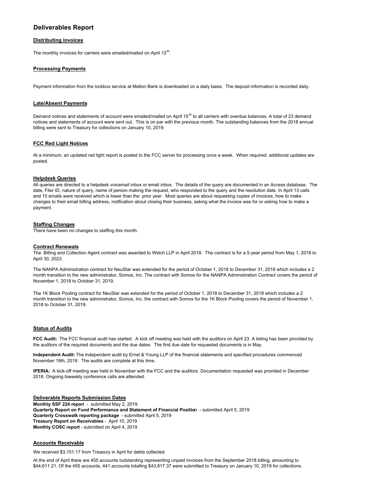## **Deliverables Report**

#### **Distributing invoices**

The monthly invoices for carriers were emailed/mailed on April 12<sup>th</sup>.

#### **Processing Payments**

Payment information from the lockbox service at Mellon Bank is downloaded on a daily basis. The deposit information is recorded daily.

#### **Late/Absent Payments**

Demand notices and statements of account were emailed/mailed on April 15<sup>th</sup> to all carriers with overdue balances. A total of 23 demand notices and statements of account were sent out. This is on par with the previous month. The outstanding balances from the 2018 annual billing were sent to Treasury for collections on January 10, 2019.

#### **FCC Red Light Notices**

At a minimum, an updated red light report is posted to the FCC server for processing once a week. When required, additional updates are posted.

#### **Helpdesk Queries**

All queries are directed to a helpdesk voicemail inbox or email inbox. The details of the query are documented in an Access database. The date, Filer ID, nature of query, name of person making the request, who responded to the query and the resolution date. In April 13 calls and 10 emails were received which is lower than the prior year. Most queries are about requesting copies of invoices, how to make changes to their email billing address, notification about closing their business, asking what the invoice was for or asking how to make a payment.

#### **Staffing Changes**

There have been no changes to staffing this month.

#### **Contract Renewals**

The Billing and Collection Agent contract was awarded to Welch LLP in April 2018. The contract is for a 5-year period from May 1, 2018 to April 30, 2023.

The NANPA Administration contract for NeuStar was extended for the period of October 1, 2018 to December 31, 2018 which includes a 2 month transition to the new administrator, Somos, Inc. The contract with Somos for the NANPA Administration Contract covers the period of November 1, 2018 to October 31, 2019.

The 1K Block Pooling contract for NeuStar was extended for the period of October 1, 2018 to December 31, 2018 which includes a 2 month transition to the new administrator, Somos, Inc. the contract with Somos for the 1K Block Pooling covers the period of November 1, 2018 to October 31, 2019.

#### **Status of Audits**

**FCC Audit:** The FCC financial audit has started. A kick off meeting was held with the auditors on April 23. A listing has been provided by the auditors of the required documents and the due dates. The first due date for requested documents is in May.

**Independent Audit:** The independent audit by Ernst & Young LLP of the financial statements and specified procedures commenced November 19th, 2018. The audits are complete at this time.

**IPERIA:** A kick-off meeting was held in November with the FCC and the auditors. Documentation requested was provided in December 2018. Ongoing biweekly conference calls are attended.

**Deliverable Reports Submission Dates Monthly SSF 224 repor**t - submitted May 2, 2019. **Quarterly Report on Fund Performance and Statement of Financial Positio**n - submitted April 5, 2019 **Quarterly Crosswalk reporting package** - submitted April 5, 2019 **Treasury Report on Receivables** - April 10, 2019 **Monthly COSC report** - submitted on April 4, 2019

#### **Accounts Receivable**

We received \$3,151.17 from Treasury in April for debts collected.

At the end of April there are 455 accounts outstanding representing unpaid invoices from the September 2018 billing, amounting to \$44,611.21. Of the 455 accounts, 441 accounts totalling \$43,817.37 were submitted to Treasury on January 10, 2019 for collections.